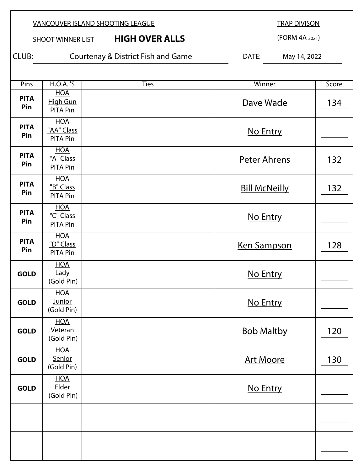**SHOOT WINNER LIST HIGH OVER ALLS** 

TRAP DIVISON

(FORM 4A 2021)

CLUB: Courtenay & District Fish and Game DATE: May 14, 2022

| Pins               | <b>H.O.A.</b> 'S                            | <b>Ties</b> | Winner               | Score |
|--------------------|---------------------------------------------|-------------|----------------------|-------|
| <b>PITA</b><br>Pin | <b>HOA</b><br>High Gun<br><b>PITA Pin</b>   |             | Dave Wade            | 134   |
| <b>PITA</b><br>Pin | <b>HOA</b><br>"AA" Class<br><b>PITA Pin</b> |             | No Entry             |       |
| <b>PITA</b><br>Pin | <b>HOA</b><br>"A" Class<br>PITA Pin         |             | <b>Peter Ahrens</b>  | 132   |
| <b>PITA</b><br>Pin | <b>HOA</b><br>"B" Class<br>PITA Pin         |             | <b>Bill McNeilly</b> | 132   |
| <b>PITA</b><br>Pin | <b>HOA</b><br>"C" Class<br><b>PITA Pin</b>  |             | No Entry             |       |
| <b>PITA</b><br>Pin | <b>HOA</b><br>"D" Class<br>PITA Pin         |             | <b>Ken Sampson</b>   | 128   |
| <b>GOLD</b>        | <b>HOA</b><br>Lady<br>(Gold Pin)            |             | No Entry             |       |
| <b>GOLD</b>        | <b>HOA</b><br><b>Junior</b><br>(Gold Pin)   |             | No Entry             |       |
| <b>GOLD</b>        | <b>HOA</b><br>Veteran<br>(Gold Pin)         |             | <b>Bob Maltby</b>    | 120   |
| <b>GOLD</b>        | <b>HOA</b><br>Senior<br>(Gold Pin)          |             | <b>Art Moore</b>     | 130   |
| <b>GOLD</b>        | <b>HOA</b><br>Elder<br>(Gold Pin)           |             | No Entry             |       |
|                    |                                             |             |                      |       |
|                    |                                             |             |                      |       |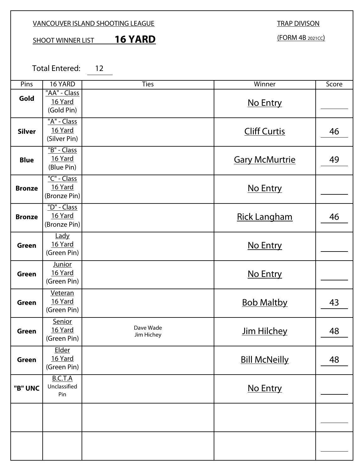#### VANCOUVER ISLAND SHOOTING LEAGUE

# SHOOT WINNER LIST **16 YARD**

(FORM 4B 2021CC)

Total Entered: 12

| Pins          | 16 YARD                                 | <b>Ties</b>             | Winner                | Score |
|---------------|-----------------------------------------|-------------------------|-----------------------|-------|
| Gold          | "AA" - Class<br>16 Yard<br>(Gold Pin)   |                         | No Entry              |       |
| <b>Silver</b> | "A" - Class<br>16 Yard<br>(Silver Pin)  |                         | <b>Cliff Curtis</b>   | 46    |
| <b>Blue</b>   | "B" - Class<br>16 Yard<br>(Blue Pin)    |                         | <b>Gary McMurtrie</b> | 49    |
| <b>Bronze</b> | "C" - Class<br>16 Yard<br>(Bronze Pin)  |                         | No Entry              |       |
| <b>Bronze</b> | "D" - Class<br>16 Yard<br>(Bronze Pin)  |                         | <b>Rick Langham</b>   | 46    |
| Green         | Lady<br>16 Yard<br>(Green Pin)          |                         | No Entry              |       |
| Green         | <b>Junior</b><br>16 Yard<br>(Green Pin) |                         | No Entry              |       |
| <b>Green</b>  | Veteran<br>16 Yard<br>(Green Pin)       |                         | <b>Bob Maltby</b>     | 43    |
| Green         | Senior<br>16 Yard<br>(Green Pin)        | Dave Wade<br>Jim Hichey | Jim Hilchey           | 48    |
| Green         | <b>Elder</b><br>16 Yard<br>(Green Pin)  |                         | <b>Bill McNeilly</b>  | 48    |
| "B" UNC       | B.C.T.A<br>Unclassified<br>Pin          |                         | No Entry              |       |
|               |                                         |                         |                       |       |
|               |                                         |                         |                       |       |

#### TRAP DIVISON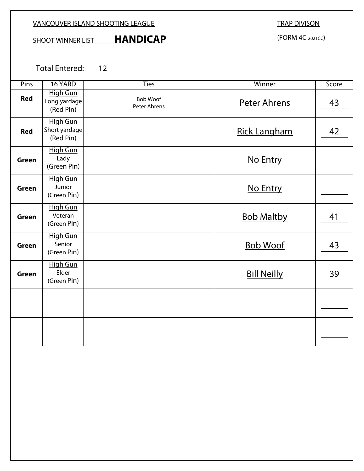### VANCOUVER ISLAND SHOOTING LEAGUE

# SHOOT WINNER LIST **HANDICAP**

# TRAP DIVISON

(FORM 4C 2021CC)

Total Entered: 12

| Pins         | 16 YARD                                       | <b>Ties</b>              | Winner              | Score |
|--------------|-----------------------------------------------|--------------------------|---------------------|-------|
| <b>Red</b>   | <b>High Gun</b><br>Long yardage<br>(Red Pin)  | Bob Woof<br>Peter Ahrens | <b>Peter Ahrens</b> | 43    |
| <b>Red</b>   | <b>High Gun</b><br>Short yardage<br>(Red Pin) |                          | <b>Rick Langham</b> | 42    |
| <b>Green</b> | <b>High Gun</b><br>Lady<br>(Green Pin)        |                          | No Entry            |       |
| <b>Green</b> | <b>High Gun</b><br>Junior<br>(Green Pin)      |                          | No Entry            |       |
| <b>Green</b> | <b>High Gun</b><br>Veteran<br>(Green Pin)     |                          | <b>Bob Maltby</b>   | 41    |
| <b>Green</b> | <b>High Gun</b><br>Senior<br>(Green Pin)      |                          | <b>Bob Woof</b>     | 43    |
| <b>Green</b> | <b>High Gun</b><br>Elder<br>(Green Pin)       |                          | <b>Bill Neilly</b>  | 39    |
|              |                                               |                          |                     |       |
|              |                                               |                          |                     |       |
|              |                                               |                          |                     |       |
|              |                                               |                          |                     |       |
|              |                                               |                          |                     |       |
|              |                                               |                          |                     |       |